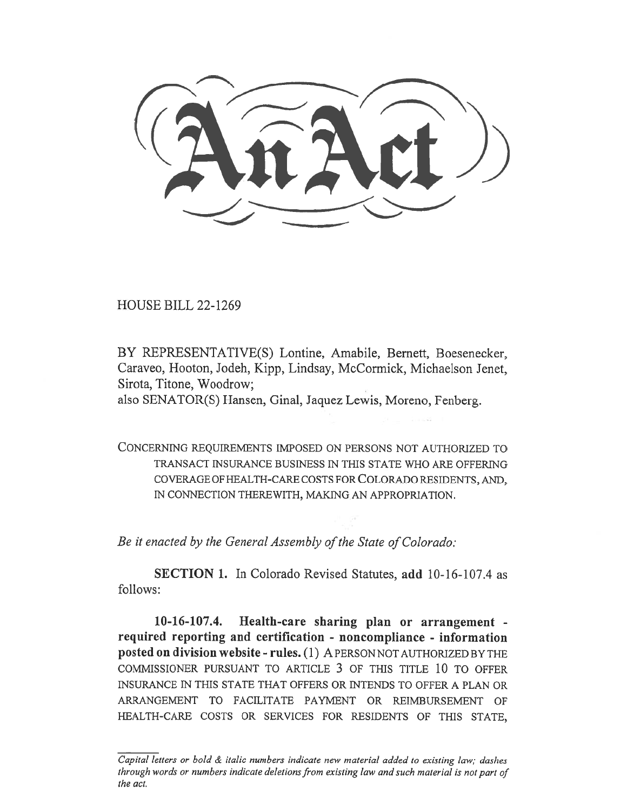HOUSE BILL 22-1269

BY REPRESENTATIVE(S) Lontine, Amabile, Bernett, Boesenecker, Caraveo, Hooton, Jodeh, Kipp, Lindsay, McCormick, Michaelson Jenet, Sirota, Titone, Woodrow;

also SENATOR(S) Hansen, Ginal, Jaquez Lewis, Moreno, Fenberg.

CONCERNING REQUIREMENTS IMPOSED ON PERSONS NOT AUTHORIZED TO TRANSACT INSURANCE BUSINESS IN THIS STATE WHO ARE OFFERING COVERAGE OF HEALTH-CARE COSTS FOR COLORADO RESIDENTS, AND, IN CONNECTION THEREWITH, MAKING AN APPROPRIATION.

Be it enacted by the General Assembly of the State of Colorado:

SECTION 1. In Colorado Revised Statutes, add 10-16-107.4 as follows:

10-16-107.4. Health-care sharing plan or arrangement required reporting and certification - noncompliance - information posted on division website - rules. (1) A PERSON NOT AUTHORIZED BY THE COMMISSIONER PURSUANT TO ARTICLE 3 OF THIS TITLE 10 TO OFFER INSURANCE IN THIS STATE THAT OFFERS OR INTENDS TO OFFER A PLAN OR ARRANGEMENT TO FACILITATE PAYMENT OR REIMBURSEMENT OF HEALTH-CARE COSTS OR SERVICES FOR RESIDENTS OF THIS STATE,

Capital letters or bold & italic numbers indicate new material added to existing law; dashes through words or numbers indicate deletions from existing law and such material is not part of the act.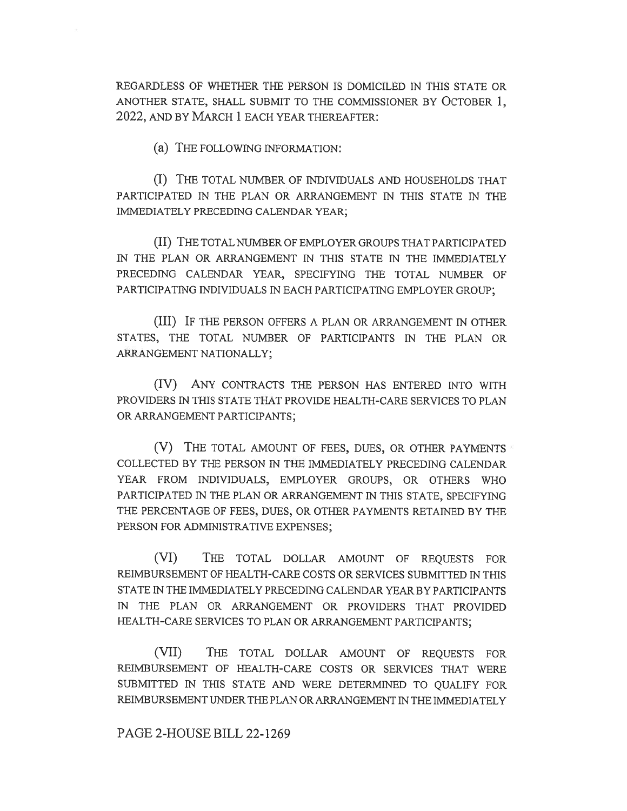REGARDLESS OF WHETHER THE PERSON IS DOMICILED IN THIS STATE OR ANOTHER STATE, SHALL SUBMIT TO THE COMMISSIONER BY OCTOBER 1, 2022, AND BY MARCH 1 EACH YEAR THEREAFTER:

(a) THE FOLLOWING INFORMATION:

(I) THE TOTAL NUMBER OF INDIVIDUALS AND HOUSEHOLDS THAT PARTICIPATED IN THE PLAN OR ARRANGEMENT IN THIS STATE IN THE IMMEDIATELY PRECEDING CALENDAR YEAR;

(II) THE TOTAL NUMBER OF EMPLOYER GROUPS THAT PARTICIPATED IN THE PLAN OR ARRANGEMENT IN THIS STATE IN THE IMMEDIATELY PRECEDING CALENDAR YEAR, SPECIFYING THE TOTAL NUMBER OF PARTICIPATING INDIVIDUALS IN EACH PARTICIPATING EMPLOYER GROUP;

(III) IF THE PERSON OFFERS A PLAN OR ARRANGEMENT IN OTHER STATES, THE TOTAL NUMBER OF PARTICIPANTS IN THE PLAN OR ARRANGEMENT NATIONALLY;

(IV) ANY CONTRACTS THE PERSON HAS ENTERED INTO WITH PROVIDERS IN THIS STATE THAT PROVIDE HEALTH-CARE SERVICES TO PLAN OR ARRANGEMENT PARTICIPANTS;

(V) THE TOTAL AMOUNT OF FEES, DUES, OR OTHER PAYMENTS COLLECTED BY THE PERSON IN THE IMMEDIATELY PRECEDING CALENDAR YEAR FROM INDIVIDUALS, EMPLOYER GROUPS, OR OTHERS WHO PARTICIPATED IN THE PLAN OR ARRANGEMENT IN THIS STATE, SPECIFYING THE PERCENTAGE OF FEES, DUES, OR OTHER PAYMENTS RETAINED BY THE PERSON FOR ADMINISTRATIVE EXPENSES;

(VI) THE TOTAL DOLLAR AMOUNT OF REQUESTS FOR REIMBURSEMENT OF HEALTH-CARE COSTS OR SERVICES SUBMITTED IN THIS STATE IN THE IMMEDIATELY PRECEDING CALENDAR YEAR BY PARTICIPANTS IN THE PLAN OR ARRANGEMENT OR PROVIDERS THAT PROVIDED HEALTH-CARE SERVICES TO PLAN OR ARRANGEMENT PARTICIPANTS;

(VII) THE TOTAL DOLLAR AMOUNT OF REQUESTS FOR REIMBURSEMENT OF HEALTH-CARE COSTS OR SERVICES THAT WERE SUBMITTED IN THIS STATE AND WERE DETERMINED TO QUALIFY FOR REIMBURSEMENT UNDER THE PLAN OR ARRANGEMENT IN THE IMMEDIATELY

PAGE 2-HOUSE BILL 22-1269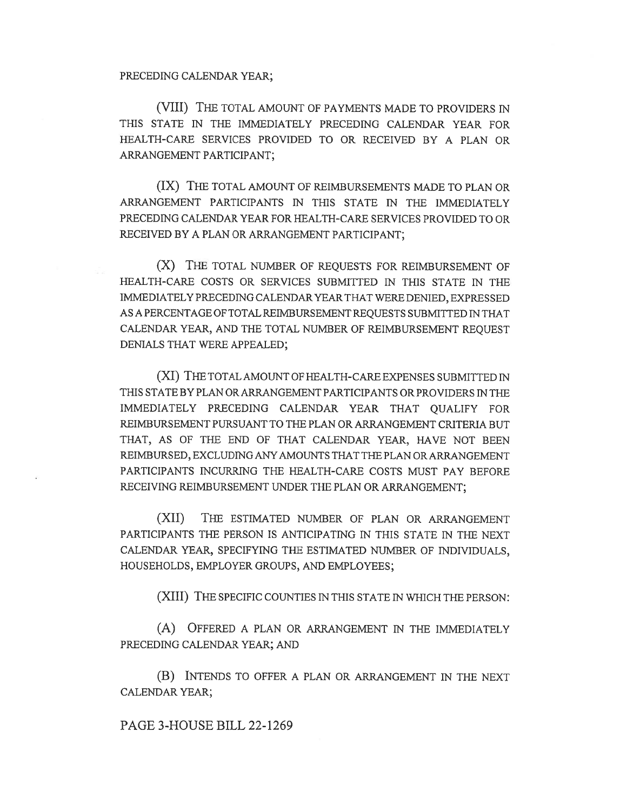## PRECEDING CALENDAR YEAR;

(VIII) THE TOTAL AMOUNT OF PAYMENTS MADE TO PROVIDERS IN THIS STATE IN THE IMMEDIATELY PRECEDING CALENDAR YEAR FOR HEALTH-CARE SERVICES PROVIDED TO OR RECEIVED BY A PLAN OR ARRANGEMENT PARTICIPANT;

(IX) THE TOTAL AMOUNT OF REIMBURSEMENTS MADE TO PLAN OR ARRANGEMENT PARTICIPANTS IN THIS STATE IN THE IMMEDIATELY PRECEDING CALENDAR YEAR FOR HEALTH-CARE SERVICES PROVIDED TO OR RECEIVED BY A PLAN OR ARRANGEMENT PARTICIPANT;

(X) THE TOTAL NUMBER OF REQUESTS FOR REIMBURSEMENT OF HEALTH-CARE COSTS OR SERVICES SUBMITTED IN THIS STATE IN THE IMMEDIATELY PRECEDING CALENDAR YEAR THAT WERE DENIED, EXPRESSED AS A PERCENTAGE OF TOTAL REIMBURSEMENT REQUESTS SUBMITTED IN THAT CALENDAR YEAR, AND THE TOTAL NUMBER OF REIMBURSEMENT REQUEST DENIALS THAT WERE APPEALED;

(XI) THE TOTAL AMOUNT OF HEALTH-CARE EXPENSES SUBMITTED IN THIS STATE BY PLAN OR ARRANGEMENT PARTICIPANTS OR PROVIDERS IN THE IMMEDIATELY PRECEDING CALENDAR YEAR THAT QUALIFY FOR REIMBURSEMENT PURSUANT TO THE PLAN OR ARRANGEMENT CRITERIA BUT THAT, AS OF THE END OF THAT CALENDAR YEAR, HAVE NOT BEEN REIMBURSED, EXCLUDING ANY AMOUNTS THAT THE PLAN OR ARRANGEMENT PARTICIPANTS INCURRING THE HEALTH-CARE COSTS MUST PAY BEFORE RECEIVING REIMBURSEMENT UNDER THE PLAN OR ARRANGEMENT;

(XII) THE ESTIMATED NUMBER OF PLAN OR ARRANGEMENT PARTICIPANTS THE PERSON IS ANTICIPATING IN THIS STATE IN THE NEXT CALENDAR YEAR, SPECIFYING THE ESTIMATED NUMBER OF INDIVIDUALS, HOUSEHOLDS, EMPLOYER GROUPS, AND EMPLOYEES;

(XIII) THE SPECIFIC COUNTIES IN THIS STATE IN WHICH THE PERSON:

(A) OFFERED A PLAN OR ARRANGEMENT IN THE IMMEDIATELY PRECEDING CALENDAR YEAR; AND

(B) INTENDS TO OFFER A PLAN OR ARRANGEMENT IN THE NEXT CALENDAR YEAR;

PAGE 3-HOUSE BILL 22-1269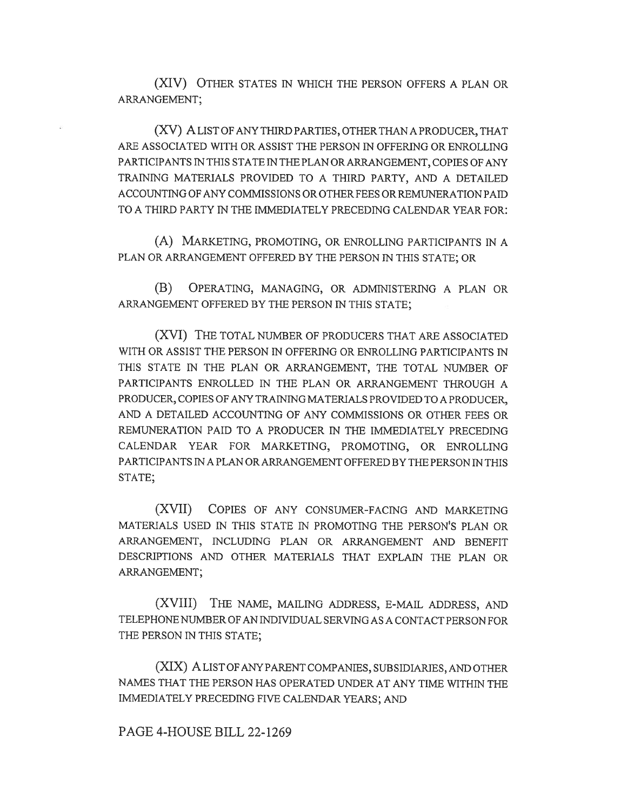(XIV) OTHER STATES IN WHICH THE PERSON OFFERS A PLAN OR ARRANGEMENT;

(XV) A LIST OF ANY THIRD PARTIES, OTHER THAN A PRODUCER, THAT ARE ASSOCIATED WITH OR ASSIST THE PERSON IN OFFERING OR ENROLLING PARTICIPANTS IN THIS STATE IN THE PLAN OR ARRANGEMENT, COPIES OF ANY TRAINING MATERIALS PROVIDED TO A THIRD PARTY, AND A DETAILED ACCOUNTING OF ANY COMMISSIONS OR OTHER FEES OR REMUNERATION PAID TO A THIRD PARTY IN THE IMMEDIATELY PRECEDING CALENDAR YEAR FOR:

(A) MARKETING, PROMOTING, OR ENROLLING PARTICIPANTS IN A PLAN OR ARRANGEMENT OFFERED BY THE PERSON IN THIS STATE; OR

(B) OPERATING, MANAGING, OR ADMINISTERING A PLAN OR ARRANGEMENT OFFERED BY THE PERSON IN THIS STATE;

(XVI) THE TOTAL NUMBER OF PRODUCERS THAT ARE ASSOCIATED WITH OR ASSIST THE PERSON IN OFFERING OR ENROLLING PARTICIPANTS IN THIS STATE IN THE PLAN OR ARRANGEMENT, THE TOTAL NUMBER OF PARTICIPANTS ENROLLED IN THE PLAN OR ARRANGEMENT THROUGH A PRODUCER, COPIES OF ANY TRAINING MATERIALS PROVIDED TO A PRODUCER, AND A DETAILED ACCOUNTING OF ANY COMMISSIONS OR OTHER FEES OR REMUNERATION PAID TO A PRODUCER IN THE IMMEDIATELY PRECEDING CALENDAR YEAR FOR MARKETING, PROMOTING, OR ENROLLING PARTICIPANTS IN A PLAN OR ARRANGEMENT OFFERED BY THE PERSON IN THIS STATE;

(XVII) COPIES OF ANY CONSUMER-FACING AND MARKETING MATERIALS USED IN THIS STATE IN PROMOTING THE PERSON'S PLAN OR ARRANGEMENT, INCLUDING PLAN OR ARRANGEMENT AND BENEFIT DESCRIPTIONS AND OTHER MATERIALS THAT EXPLAIN THE PLAN OR ARRANGEMENT;

(XVIII) THE NAME, MAILING ADDRESS, E-MAIL ADDRESS, AND TELEPHONE NUMBER OF AN INDIVIDUAL SERVING AS A CONTACT PERSON FOR THE PERSON IN THIS STATE;

(XIX) A LIST OF ANY PARENT COMPANIES, SUBSIDIARIES, AND OTHER NAMES THAT THE PERSON HAS OPERATED UNDER AT ANY TIME WITHIN THE IMMEDIATELY PRECEDING FIVE CALENDAR YEARS; AND

PAGE 4-HOUSE BILL 22-1269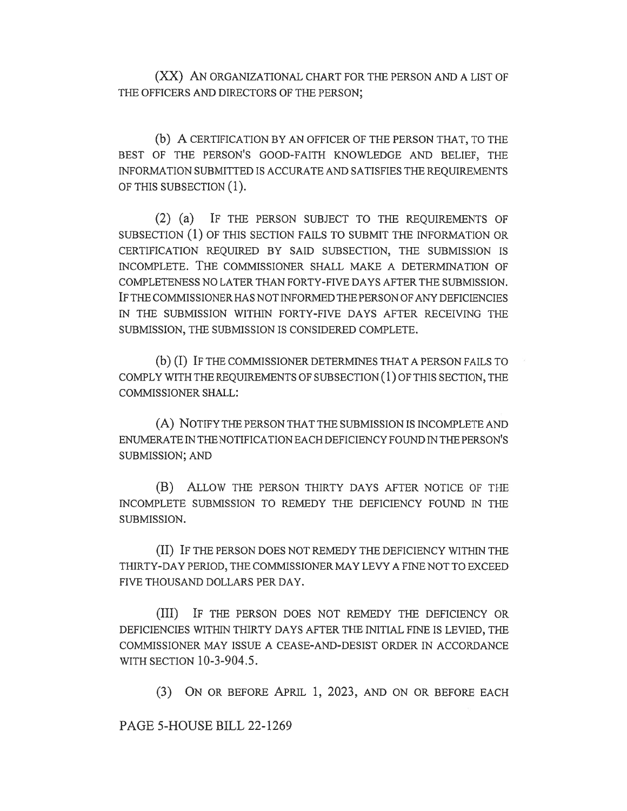(XX) AN ORGANIZATIONAL CHART FOR THE PERSON AND A LIST OF THE OFFICERS AND DIRECTORS OF THE PERSON;

(b) A CERTIFICATION BY AN OFFICER OF THE PERSON THAT, TO THE BEST OF THE PERSON'S GOOD-FAITH KNOWLEDGE AND BELIEF, THE INFORMATION SUBMITTED IS ACCURATE AND SATISFIES THE REQUIREMENTS OF THIS SUBSECTION (1).

(2) (a) IF THE PERSON SUBJECT TO THE REQUIREMENTS OF SUBSECTION (1) OF THIS SECTION FAILS TO SUBMIT THE INFORMATION OR CERTIFICATION REQUIRED BY SAID SUBSECTION, THE SUBMISSION IS INCOMPLETE. THE COMMISSIONER SHALL MAKE A DETERMINATION OF COMPLETENESS NO LATER THAN FORTY-FIVE DAYS AFTER THE SUBMISSION. IF THE COMMISSIONER HAS NOT INFORMED THE PERSON OF ANY DEFICIENCIES IN THE SUBMISSION WITHIN FORTY-FIVE DAYS AFTER RECEIVING THE SUBMISSION, THE SUBMISSION IS CONSIDERED COMPLETE.

(b) (I) IF THE COMMISSIONER DETERMINES THAT A PERSON FAILS TO COMPLY WITH THE REQUIREMENTS OF SUBSECTION (1) OF THIS SECTION, THE COMMISSIONER SHALL:

(A) NOTIFY THE PERSON THAT THE SUBMISSION IS INCOMPLETE AND ENUMERATE IN THE NOTIFICATION EACH DEFICIENCY FOUND IN THE PERSON'S SUBMISSION; AND

(B) ALLOW THE PERSON THIRTY DAYS AFTER NOTICE OF THE INCOMPLETE SUBMISSION TO REMEDY THE DEFICIENCY FOUND IN THE SUBMISSION.

(II) IF THE PERSON DOES NOT REMEDY THE DEFICIENCY WITHIN THE THIRTY-DAY PERIOD, THE COMMISSIONER MAY LEVY A FINE NOT TO EXCEED FIVE THOUSAND DOLLARS PER DAY.

(III) IF THE PERSON DOES NOT REMEDY THE DEFICIENCY OR DEFICIENCIES WITHIN THIRTY DAYS AFTER THE INITIAL FINE IS LEVIED, THE COMMISSIONER MAY ISSUE A CEASE-AND-DESIST ORDER IN ACCORDANCE WITH SECTION 10-3-904.5.

(3) ON OR BEFORE APRIL 1, 2023, AND ON OR BEFORE EACH

PAGE 5-HOUSE BILL 22-1269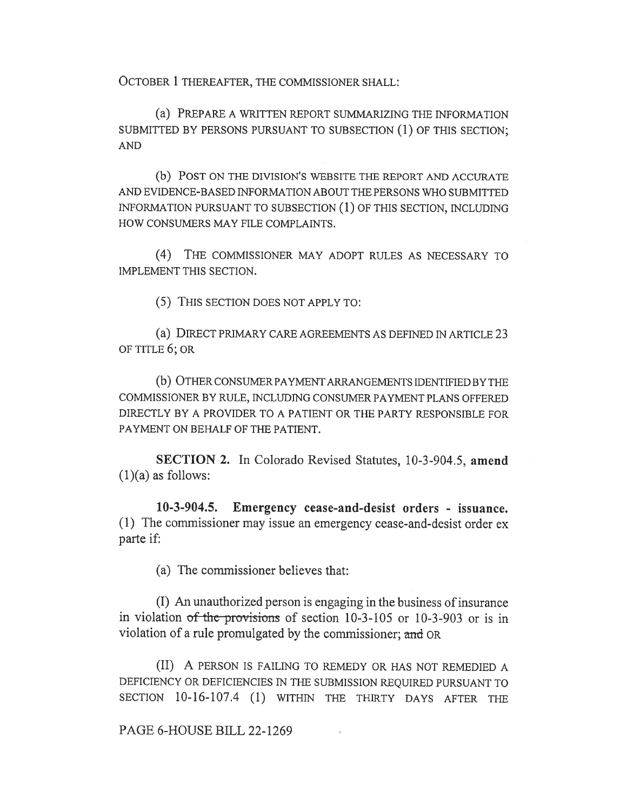OCTOBER 1 THEREAFTER, THE COMMISSIONER SHALL:

(a) PREPARE A WRITTEN REPORT SUMMARIZING THE INFORMATION SUBMITTED BY PERSONS PURSUANT TO SUBSECTION (1) OF THIS SECTION; AND

(b) POST ON THE DIVISION'S WEBSITE THE REPORT AND ACCURATE AND EVIDENCE-BASED INFORMATION ABOUT THE PERSONS WHO SUBMITTED INFORMATION PURSUANT TO SUBSECTION (1) OF THIS SECTION, INCLUDING HOW CONSUMERS MAY FILE COMPLAINTS.

(4) THE COMMISSIONER MAY ADOPT RULES AS NECESSARY TO IMPLEMENT THIS SECTION.

(5) THIS SECTION DOES NOT APPLY TO:

(a) DIRECT PRIMARY CARE AGREEMENTS AS DEFINED IN ARTICLE 23 OF TITLE 6; OR

(b) OTHER CONSUMER PAYMENT ARRANGEMENTS IDENTIFIED BY THE COMMISSIONER BY RULE, INCLUDING CONSUMER PAYMENT PLANS OFFERED DIRECTLY BY A PROVIDER TO A PATIENT OR THE PARTY RESPONSIBLE FOR PAYMENT ON BEHALF OF THE PATIENT.

SECTION 2. In Colorado Revised Statutes, 10-3-904.5, amend  $(1)(a)$  as follows:

10-3-904.5. Emergency cease-and-desist orders - issuance. (1) The commissioner may issue an emergency cease-and-desist order ex parte if:

(a) The commissioner believes that:

(I) An unauthorized person is engaging in the business of insurance in violation  $of$  the provisions of section 10-3-105 or 10-3-903 or is in violation of a rule promulgated by the commissioner; and OR

(II) A PERSON IS FAILING TO REMEDY OR HAS NOT REMEDIED A DEFICIENCY OR DEFICIENCIES IN THE SUBMISSION REQUIRED PURSUANT TO SECTION 10-16-107.4 (1) WITHIN THE THIRTY DAYS AFTER THE

PAGE 6-HOUSE BILL 22-1269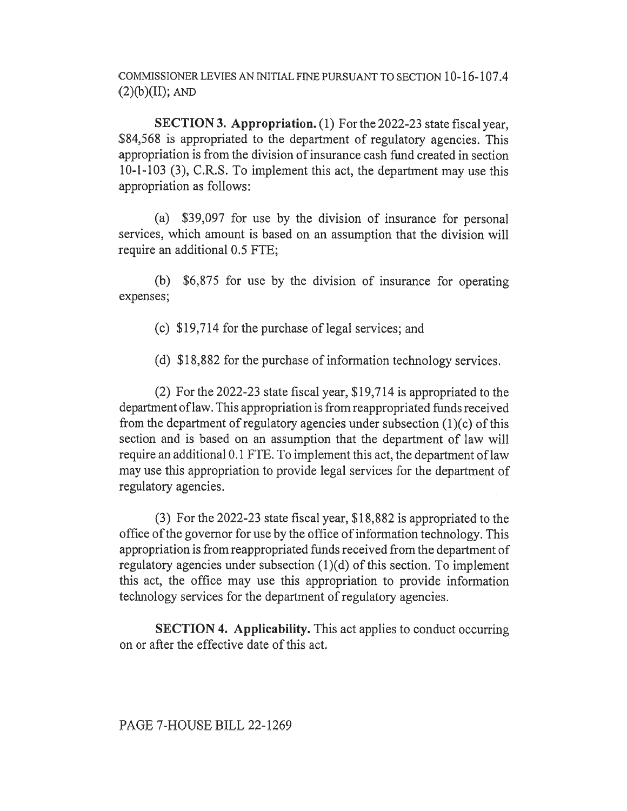COMMISSIONER LEVIES AN INITIAL FINE PURSUANT TO SECTION 10-16-107.4  $(2)(b)(II)$ ; AND

SECTION 3. Appropriation. (1) For the 2022-23 state fiscal year, \$84,568 is appropriated to the department of regulatory agencies. This appropriation is from the division of insurance cash fund created in section 10-1-103 (3), C.R.S. To implement this act, the department may use this appropriation as follows:

(a) \$39,097 for use by the division of insurance for personal services, which amount is based on an assumption that the division will require an additional 0.5 FTE;

(b) \$6,875 for use by the division of insurance for operating expenses;

(c) \$19,714 for the purchase of legal services; and

(d) \$18,882 for the purchase of information technology services.

(2) For the 2022-23 state fiscal year, \$19,714 is appropriated to the department of law. This appropriation is from reappropriated funds received from the department of regulatory agencies under subsection (1)(c) of this section and is based on an assumption that the department of law will require an additional 0.1 FTE. To implement this act, the department of law may use this appropriation to provide legal services for the department of regulatory agencies.

(3) For the 2022-23 state fiscal year, \$18,882 is appropriated to the office of the governor for use by the office of information technology. This appropriation is from reappropriated funds received from the department of regulatory agencies under subsection  $(1)(d)$  of this section. To implement this act, the office may use this appropriation to provide information technology services for the department of regulatory agencies.

SECTION 4. Applicability. This act applies to conduct occurring on or after the effective date of this act.

PAGE 7-HOUSE BILL 22-1269